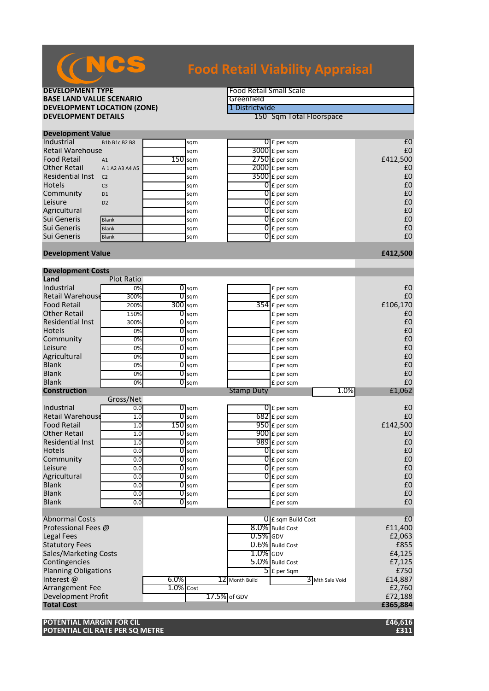

## **DEVELOPMENT TYPE**<br> **BASE LAND VALUE SCENARIO BASE LAND VALUE SCENARIO**<br> **DEVELOPMENT LOCATION (ZONE)** The Contract of the Contract of the Contract of the Contract of the Contract of the Contract of the Contract of the Contract of the Contract of the Contract of the **DEVELOPMENT LOCATION (ZONE)**<br>DEVELOPMENT DETAILS

**150 Sqm Total Floorspace** 

|                         | <b>Development Value</b> |           |     |  |                          |          |  |  |  |
|-------------------------|--------------------------|-----------|-----|--|--------------------------|----------|--|--|--|
| <b>Industrial</b>       | B1b B1c B2 B8            |           | sqm |  | $\overline{0}$ E per sqm | £C       |  |  |  |
| <b>Retail Warehouse</b> |                          |           | sqm |  | $3000$ £ per sqm         | £C       |  |  |  |
| <b>Food Retail</b>      | A1                       | $150$ sam |     |  | $2750$ £ per sqm         | £412,500 |  |  |  |
| <b>Other Retail</b>     | A 1 A 2 A 3 A 4 A 5      |           | sqm |  | $2000$ $E$ per sqm       | £C       |  |  |  |
| Residential Inst        | C <sub>2</sub>           |           | sqm |  | $3500$ £ per sqm         | £C       |  |  |  |
| Hotels                  | C <sub>3</sub>           |           | sqm |  | $\overline{0}$ E per sqm | £C       |  |  |  |
| Community               | D <sub>1</sub>           |           | sqm |  | $0 \text{ f}$ per sqm    | £C       |  |  |  |
| Leisure                 | D <sub>2</sub>           |           | sqm |  | $0 \mathsf{E}$ per sqm   | £C       |  |  |  |
| Agricultural            |                          |           | sqm |  | $0 \mathsf{E}$ per sqm   | £C       |  |  |  |
| Sui Generis             | <b>Blank</b>             |           | sqm |  | $0 \mathsf{E}$ per sqm   | £C       |  |  |  |
| Sui Generis             | <b>Blank</b>             |           | sqm |  | $\overline{0}$ £ per sqm | £C       |  |  |  |
| Sui Generis             | <b>Blank</b>             |           | sqm |  | $\overline{0}$ E per sqm | £C       |  |  |  |

### **Development Value £412,500**

| <b>Development Costs</b>     |                   |              |                         |                   |                          |                 |          |
|------------------------------|-------------------|--------------|-------------------------|-------------------|--------------------------|-----------------|----------|
| Land                         | <b>Plot Ratio</b> |              |                         |                   |                          |                 |          |
| Industrial                   | 0%                |              | $0$ sqm                 |                   | £ per sqm                |                 | £C       |
| <b>Retail Warehouse</b>      | 300%              |              | $\overline{0}$ sqm      |                   | £ per sqm                |                 | £C       |
| <b>Food Retail</b>           | 200%              |              | 300 sqm                 |                   | $354$ £ per sqm          |                 | £106,170 |
| <b>Other Retail</b>          | 150%              |              | $0$ sqm                 |                   | £ per sqm                |                 | £C       |
| <b>Residential Inst</b>      | 300%              |              | $\overline{0}$ sqm      |                   | £ per sqm                |                 | £C       |
| <b>Hotels</b>                | 0%                |              | $O$ sqm                 |                   | £ per sqm                |                 | £C       |
| Community                    | 0%                |              | $\overline{O}$ sqm      |                   | £ per sqm                |                 | £C       |
| Leisure                      | 0%                |              | $\sigma$ <sub>sqm</sub> |                   | £ per sqm                |                 | £C       |
| Agricultural                 | 0%                | 01           | sqm                     |                   | £ per sqm                |                 | £C       |
| <b>Blank</b>                 | 0%                |              | $\overline{0}$ sqm      |                   | £ per sqm                |                 | £C       |
| <b>Blank</b>                 | 0%                |              | $\overline{0}$ sqm      |                   | £ per sqm                |                 | £C       |
| <b>Blank</b>                 | 0%                |              | $0$ sqm                 |                   | £ per sqm                |                 | £C       |
| <b>Construction</b>          |                   |              |                         | <b>Stamp Duty</b> |                          | 1.0%            | £1,062   |
|                              | Gross/Net         |              |                         |                   |                          |                 |          |
| Industrial                   | 0.0               |              | $\sigma$ <sub>sqm</sub> |                   | $\overline{0}$ E per sqm |                 | £0       |
| <b>Retail Warehouse</b>      | 1.0               | 0            | sqm                     |                   | $682$ $E$ per sqm        |                 | £0       |
| <b>Food Retail</b>           | 1.0               |              | $150$ sqm               |                   | $950$ £ per sqm          |                 | £142,500 |
| <b>Other Retail</b>          | 1.0               |              | $O$ sqm                 |                   | 900 £ per sqm            |                 | £C       |
| <b>Residential Inst</b>      | 1.0               |              | $\overline{0}$ sqm      |                   | $989$ £ per sqm          |                 | £C       |
| <b>Hotels</b>                | 0.0               |              | $\overline{0}$ sqm      |                   | $\overline{0}$ £ per sqm |                 | £C       |
| Community                    | 0.0               |              | $0$ sqm                 |                   | $\overline{0}$ £ per sqm |                 | £C       |
| Leisure                      | 0.0               |              | $\overline{0}$ sqm      |                   | $\overline{0}$ £ per sqm |                 | £C       |
| Agricultural                 | 0.0               | 01           | sqm                     |                   | $\overline{0}$ £ per sqm |                 | £C       |
| <b>Blank</b>                 | 0.0               |              | $\overline{0}$ sqm      |                   | £ per sqm                |                 | £C       |
| <b>Blank</b>                 | 0.0               |              | $\overline{0}$ sqm      |                   | £ per sqm                |                 | £C       |
| <b>Blank</b>                 | 0.0               |              | $O$ sqm                 |                   | £ per sqm                |                 | £0       |
|                              |                   |              |                         |                   |                          |                 |          |
| <b>Abnormal Costs</b>        |                   |              |                         |                   | $0$ E sqm Build Cost     |                 | E        |
| Professional Fees @          |                   |              |                         |                   | 8.0% Build Cost          |                 | £11,400  |
| <b>Legal Fees</b>            |                   |              |                         | $0.5\%$ GDV       |                          |                 | £2,063   |
| <b>Statutory Fees</b>        |                   |              |                         |                   | $0.6\%$ Build Cost       |                 | £855     |
| <b>Sales/Marketing Costs</b> |                   |              |                         | $1.0\%$ GDV       |                          |                 | £4,125   |
| Contingencies                |                   |              |                         |                   | 5.0% Build Cost          |                 | £7,125   |
| <b>Planning Obligations</b>  |                   |              |                         |                   | $5$ E per Sqm            |                 | £750     |
| Interest@                    |                   | $6.0\%$      |                         | 12 Month Build    |                          | 3 Mth Sale Void | £14,887  |
| Arrangement Fee              |                   | $1.0\%$ Cost |                         |                   |                          |                 | £2,760   |
| Development Profit           |                   |              |                         | 17.5% of GDV      |                          |                 | £72,188  |
| <b>Total Cost</b>            |                   |              |                         |                   |                          |                 | £365,884 |

**POTENTIAL MARGIN FOR CIL £46,616 POTENTIAL CIL RATE PER SQ METRE** *<b>E311 £311*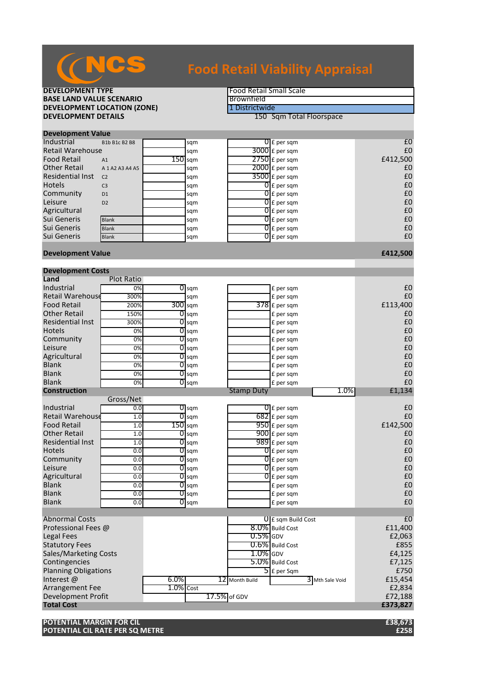

## **DEVELOPMENT TYPE**<br> **BASE LAND VALUE SCENARIO BASE LAND VALUE SCENARIO**<br> **DEVELOPMENT LOCATION (ZONE) EXPORENT LOCATION (ZONE) BEVELOPMENT LOCATION (ZONE) DEVELOPMENT LOCATION (ZONE)**<br>DEVELOPMENT DETAILS

**150 Sqm Total Floorspace** 

| <b>Development Value</b> |                     |           |     |                          |          |
|--------------------------|---------------------|-----------|-----|--------------------------|----------|
| Industrial               | B1b B1c B2 B8       |           | sqm | $\Omega$ E per sqm       | £0       |
| Retail Warehouse         |                     |           | sqm | 3000 £ per sqm           | £0       |
| <b>Food Retail</b>       | A1                  | $150$ sqm |     | $2750$ £ per sqm         | £412,500 |
| Other Retail             | A 1 A 2 A 3 A 4 A 5 |           | sqm | $2000$ $E$ per sqm       | £0       |
| Residential Inst         | C <sub>2</sub>      |           | sqm | $3500$ £ per sqm         | £0       |
| <b>Hotels</b>            | C <sub>3</sub>      |           | sqm | $\overline{0}$ E per sqm | £0       |
| Community                | D <sub>1</sub>      |           | sqm | $0f$ per sqm             | £0       |
| Leisure                  | D <sub>2</sub>      |           | sqm | $0f$ per sqm             | £0       |
| Agricultural             |                     |           | sqm | $0f$ per sqm             | £0       |
| Sui Generis              | <b>Blank</b>        |           | sqm | $\overline{0}$ £ per sqm | £0       |
| Sui Generis              | <b>Blank</b>        |           | sqm | $\overline{0}$ £ per sqm | £0       |
| Sui Generis              | <b>Blank</b>        |           | sqm | $0f$ per sqm             | £0       |
|                          |                     |           |     |                          |          |

### **Development Value £412,500**

| <b>Development Costs</b>    |                   |              |                    |                   |                           |                 |          |
|-----------------------------|-------------------|--------------|--------------------|-------------------|---------------------------|-----------------|----------|
| Land                        | <b>Plot Ratio</b> |              |                    |                   |                           |                 |          |
| Industrial                  | 0%                |              | $\overline{O}$ sqm |                   | £ per sqm                 |                 | £0       |
| <b>Retail Warehouse</b>     | 300%              |              | sqm                |                   | £ per sqm                 |                 | £0       |
| <b>Food Retail</b>          | 200%              | $300$ sqm    |                    |                   | $378$ £ per sqm           |                 | £113,400 |
| <b>Other Retail</b>         | 150%              |              | $\overline{0}$ sqm |                   | £ per sqm                 |                 | £0       |
| <b>Residential Inst</b>     | 300%              |              | $O$ sqm            |                   | £ per sqm                 |                 | £0       |
| <b>Hotels</b>               | 0%                |              | $O$ sqm            |                   | £ per sqm                 |                 | £0       |
| Community                   | 0%                | 0            | sqm                |                   | £ per sqm                 |                 | £0       |
| Leisure                     | 0%                | 0            | sqm                |                   | £ per sqm                 |                 | £0       |
| Agricultural                | 0%                | 0            | sqm                |                   | £ per sqm                 |                 | £0       |
| <b>Blank</b>                | 0%                | 0            | sqm                |                   | £ per sqm                 |                 | £0       |
| <b>Blank</b>                | 0%                |              | $O$ sqm            |                   | £ per sqm                 |                 | £0       |
| <b>Blank</b>                | 0%                |              | $O$ sqm            |                   | £ per sqm                 |                 | £0       |
| <b>Construction</b>         |                   |              |                    | <b>Stamp Duty</b> |                           | 1.0%            | £1,134   |
|                             | Gross/Net         |              |                    |                   |                           |                 |          |
| Industrial                  | 0.0               |              | $\overline{O}$ sqm |                   | $\overline{0}$ £ per sqm  |                 | £0       |
| <b>Retail Warehouse</b>     | 1.0               | 0            | sqm                |                   | $682$ E per sqm           |                 | £0       |
| <b>Food Retail</b>          | 1.0               | $150$ sqm    |                    |                   | $950$ £ per sqm           |                 | £142,500 |
| <b>Other Retail</b>         | 1.0               |              | $O$ sqm            |                   | $900$ £ per sqm           |                 | £0       |
| <b>Residential Inst</b>     | 1.0               |              | $O$ sqm            |                   | $989$ £ per sqm           |                 | £0       |
| <b>Hotels</b>               | 0.0               |              | $\overline{O}$ sqm |                   | $\overline{0}$ £ per sqm  |                 | £0       |
| Community                   | 0.0               | 0            | sqm                |                   | $\overline{0}$ E per sqm  |                 | £0       |
| Leisure                     | 0.0               | 0            | sqm                |                   | $\overline{0}$ £ per sqm  |                 | £0       |
| Agricultural                | 0.0               | 0            | sqm                |                   | $\overline{0}$ E per sqm  |                 | £0       |
| <b>Blank</b>                | 0.0               | 0            | sqm                |                   | £ per sqm                 |                 | £0       |
| <b>Blank</b>                | 0.0               |              | $O$ sqm            |                   | £ per sqm                 |                 | £0       |
| <b>Blank</b>                | 0.0               |              | $0$ sqm            |                   | £ per sqm                 |                 | £0       |
|                             |                   |              |                    |                   |                           |                 |          |
| <b>Abnormal Costs</b>       |                   |              |                    |                   | $\theta$ E sqm Build Cost |                 | £0       |
| Professional Fees @         |                   |              |                    |                   | 8.0% Build Cost           |                 | £11,400  |
| Legal Fees                  |                   |              |                    | $0.5\%$ GDV       |                           |                 | £2,063   |
| <b>Statutory Fees</b>       |                   |              |                    |                   | 0.6% Build Cost           |                 | £855     |
| Sales/Marketing Costs       |                   |              |                    | $1.0\%$ GDV       |                           |                 | £4,125   |
| Contingencies               |                   |              |                    |                   | 5.0% Build Cost           |                 | £7,125   |
| <b>Planning Obligations</b> |                   |              |                    |                   | $5$ £ per Sqm             |                 | £750     |
| Interest@                   |                   | $6.0\%$      |                    | 12 Month Build    |                           | 3 Mth Sale Void | £15,454  |
| Arrangement Fee             |                   | $1.0\%$ Cost |                    |                   |                           |                 | £2,834   |
| Development Profit          |                   |              |                    | 17.5% of GDV      |                           |                 | £72,188  |
| <b>Total Cost</b>           |                   |              |                    |                   |                           |                 | £373,827 |

**POTENTIAL MARGIN FOR CIL £38,673 POTENTIAL CIL RATE PER SQ METRE**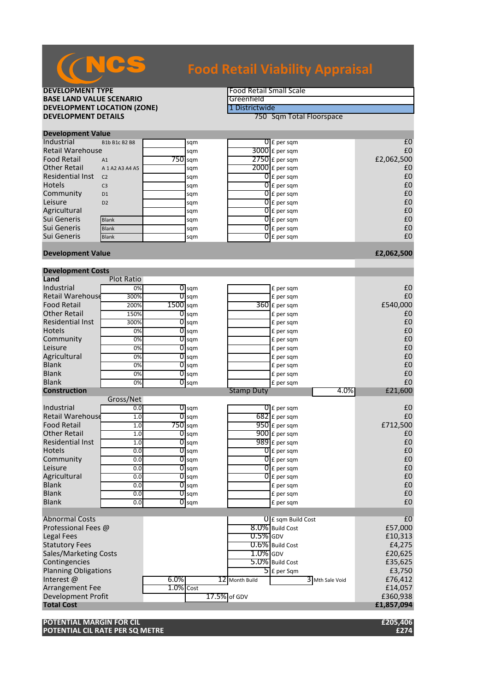

**DEVELOPMENT TYPE**<br> **BASE LAND VALUE SCENARIO BASE LAND VALUE SCENARIO**<br> **DEVELOPMENT LOCATION (ZONE)** The Contract of the Contract of the Contract of the Contract of the Contract of the Contract of the Contract of the Contract of the Contract of the Contract of the **DEVELOPMENT LOCATION (ZONE)**<br>DEVELOPMENT DETAILS

**750 Sqm Total Floorspace** 

| <b>Development Value</b> |                     |  |           |  |                          |            |  |  |
|--------------------------|---------------------|--|-----------|--|--------------------------|------------|--|--|
| Industrial               | B1b B1c B2 B8       |  | sqm       |  | $\overline{0}$ E per sqm | £C         |  |  |
| <b>Retail Warehouse</b>  |                     |  | sqm       |  | $3000$ £ per sqm         | £C         |  |  |
| <b>Food Retail</b>       | A1                  |  | $750$ sqm |  | $2750$ £ per sqm         | £2,062,500 |  |  |
| <b>Other Retail</b>      | A 1 A 2 A 3 A 4 A 5 |  | sqm       |  | $2000$ $E$ per sqm       | £C         |  |  |
| <b>Residential Inst</b>  | C <sub>2</sub>      |  | sqm       |  | $\overline{O}$ E per sqm | £C         |  |  |
| <b>Hotels</b>            | C <sub>3</sub>      |  | sqm       |  | $\overline{0}$ £ per sqm | £C         |  |  |
| Community                | D <sub>1</sub>      |  | sqm       |  | $0f$ per sqm             | £C         |  |  |
| Leisure                  | D2                  |  | sqm       |  | $\overline{0}$ E per sqm | £C         |  |  |
| Agricultural             |                     |  | sqm       |  | $0f$ per sqm             | £C         |  |  |
| Sui Generis              | <b>Blank</b>        |  | sqm       |  | $0f$ per sqm             | £C         |  |  |
| Sui Generis              | <b>Blank</b>        |  | sqm       |  | $\overline{0}$ E per sqm | £C         |  |  |
| Sui Generis              | <b>Blank</b>        |  | sqm       |  | $\overline{0}$ E per sqm | £C         |  |  |
|                          |                     |  |           |  |                          |            |  |  |

### **Development Value £2,062,500**

| <b>Development Costs</b>     |                   |              |                    |              |                   |                                   |                 |                |
|------------------------------|-------------------|--------------|--------------------|--------------|-------------------|-----------------------------------|-----------------|----------------|
| Land                         | <b>Plot Ratio</b> |              |                    |              |                   |                                   |                 |                |
| Industrial                   | 0%                |              | $\overline{0}$ sqm |              |                   | £ per sqm                         |                 | £0             |
| <b>Retail Warehouse</b>      | 300%              | 0            | sqm                |              |                   | £ per sqm                         |                 | £0             |
| <b>Food Retail</b>           | 200%              | 1500 sqm     |                    |              |                   | 360 £ per sqm                     |                 | £540,000       |
| <b>Other Retail</b>          | 150%              |              | $O$ sqm            |              |                   | £ per sqm                         |                 | £0             |
| <b>Residential Inst</b>      | 300%              | 01           | sqm                |              |                   | £ per sqm                         |                 | £0             |
| <b>Hotels</b>                | 0%                | 01           | sqm                |              |                   | £ per sqm                         |                 | £0             |
| Community                    | 0%                | 01           | sqm                |              |                   | £ per sqm                         |                 | £0             |
| Leisure                      | 0%                | 01           | sqm                |              |                   | £ per sqm                         |                 | £0             |
| Agricultural                 | 0%                |              | $0$ sqm            |              |                   | £ per sqm                         |                 | £0             |
| <b>Blank</b>                 | 0%                |              | $\overline{0}$ sqm |              |                   | £ per sqm                         |                 | £0             |
| <b>Blank</b>                 | 0%                |              | $\overline{0}$ sqm |              |                   | £ per sqm                         |                 | £0             |
| <b>Blank</b>                 | 0%                |              | $O$ sqm            |              |                   | £ per sqm                         |                 | £0             |
| <b>Construction</b>          |                   |              |                    |              | <b>Stamp Duty</b> |                                   | 4.0%            | £21,600        |
|                              | Gross/Net         |              |                    |              |                   |                                   |                 |                |
| Industrial                   | 0.0               |              | $0 \,$ sqm         |              |                   | $\overline{0}$ E per sqm          |                 | £0             |
| <b>Retail Warehouse</b>      | 1.0               | 0            | sqm                |              |                   | $682$ E per sqm                   |                 | £0             |
| <b>Food Retail</b>           | 1.0               |              | $750$ sqm          |              |                   | $950$ £ per sqm                   |                 | £712,500       |
| <b>Other Retail</b>          | 1.0               | 01           | sqm                |              |                   | 900 £ per sqm                     |                 | £0             |
| <b>Residential Inst</b>      | 1.0               | 01           | sqm                |              |                   | 989 £ per sqm                     |                 | £0             |
| <b>Hotels</b>                | 0.0               |              | $O$ sqm            |              |                   | $\overline{0}$ E per sqm          |                 | £0             |
| Community                    | 0.0               | 01           | sqm                |              |                   | $\overline{0}$ £ per sqm          |                 | £0             |
| Leisure                      | 0.0               |              | $\overline{0}$ sqm |              |                   | $\overline{0}$ E per sqm          |                 | £0             |
| Agricultural                 | 0.0               |              | $0 \,\mathrm{sgm}$ |              |                   | $\overline{0}$ E per sqm          |                 | £0             |
| <b>Blank</b>                 | 0.0               |              | $0$ sqm            |              |                   | £ per sqm                         |                 | £0             |
| <b>Blank</b>                 | 0.0               |              | $\overline{0}$ sqm |              |                   | £ per sqm                         |                 | £0             |
| <b>Blank</b>                 | 0.0               |              | $\overline{O}$ sqm |              |                   | £ per sqm                         |                 | f()            |
|                              |                   |              |                    |              |                   |                                   |                 |                |
| <b>Abnormal Costs</b>        |                   |              |                    |              |                   | <b>UIE</b> sqm Build Cost         |                 | E <sub>0</sub> |
| Professional Fees @          |                   |              |                    |              |                   | 8.0% Build Cost                   |                 | £57,000        |
| <b>Legal Fees</b>            |                   |              |                    |              | $0.5\%$ GDV       |                                   |                 | £10,313        |
| <b>Statutory Fees</b>        |                   |              |                    |              |                   | 0.6% Build Cost                   |                 | £4,275         |
| <b>Sales/Marketing Costs</b> |                   |              |                    |              | $1.0\%$ GDV       |                                   |                 | £20,625        |
| Contingencies                |                   |              |                    |              |                   | 5.0% Build Cost                   |                 | £35,625        |
| <b>Planning Obligations</b>  |                   |              |                    |              |                   | $\overline{\mathsf{5}}$ E per Sqm |                 | £3,750         |
| Interest@                    |                   | $6.0\%$      |                    |              | 12 Month Build    |                                   | 3 Mth Sale Void | £76,412        |
| Arrangement Fee              |                   | $1.0\%$ Cost |                    |              |                   |                                   |                 | £14,057        |
| <b>Development Profit</b>    |                   |              |                    | 17.5% of GDV |                   |                                   |                 | £360,938       |
| <b>Total Cost</b>            |                   |              |                    |              |                   |                                   |                 | £1,857,094     |
|                              |                   |              |                    |              |                   |                                   |                 |                |

**POTENTIAL MARGIN FOR CIL £205,406 POTENTIAL CIL RATE PER SQ METRE**